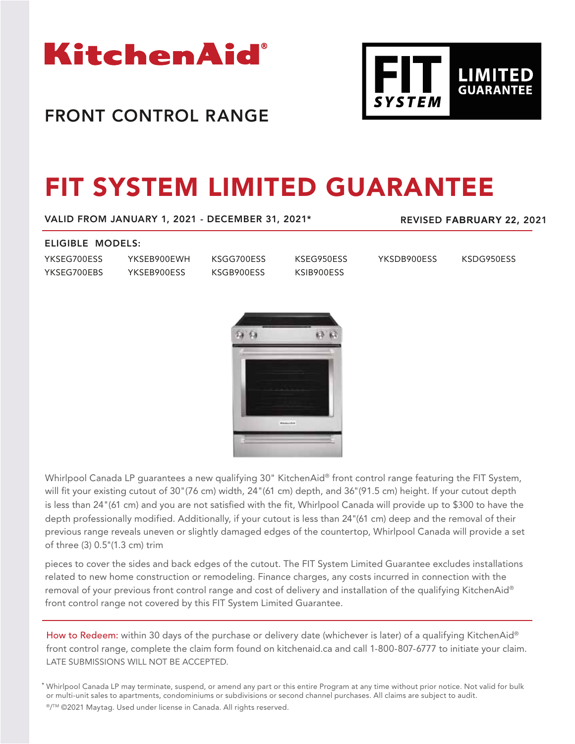

## FRONT CONTROL RANGE



# FIT SYSTEM LIMITED GUARANTEE

VALID FROM JANUARY 1, 2021 - DECEMBER 31, 2021\*

REVISED **FABRUARY 22**, 2021

### ELIGIBLE MODELS:

YKSEG700ESS YKSEG700EBS YKSEB900EWH YKSEB900ESS

KSGG700ESS KSGB900ESS

KSEG950ESS KSIB900ESS

YKSDB900ESS KSDG950ESS



Whirlpool Canada LP quarantees a new qualifying 30" KitchenAid® front control range featuring the FIT System, will fit your existing cutout of 30"(76 cm) width, 24"(61 cm) depth, and 36"(91.5 cm) height. If your cutout depth is less than 24"(61 cm) and you are not satisfied with the fit, Whirlpool Canada will provide up to \$300 to have the depth professionally modified. Additionally, if your cutout is less than 24"(61 cm) deep and the removal of their previous range reveals uneven or slightly damaged edges of the countertop, Whirlpool Canada will provide a set of three (3) 0.5"(1.3 cm) trim

pieces to cover the sides and back edges of the cutout. The FIT System Limited Guarantee excludes installations related to new home construction or remodeling. Finance charges, any costs incurred in connection with the removal of your previous front control range and cost of delivery and installation of the qualifying KitchenAid® front control range not covered by this FIT System Limited Guarantee.

How to Redeem: within 30 days of the purchase or delivery date (whichever is later) of a qualifying KitchenAid® front control range, complete the claim form found on kitchenaid.ca and call 1-800-807-6777 to initiate your claim. LATE SUBMISSIONS WILL NOT BE ACCEPTED.

\* Whirlpool Canada LP may terminate, suspend, or amend any part or this entire Program at any time without prior notice. Not valid for bulk or multi-unit sales to apartments, condominiums or subdivisions or second channel purchases. All claims are subject to audit. ®/™ ©2021 Maytag. Used under license in Canada. All rights reserved.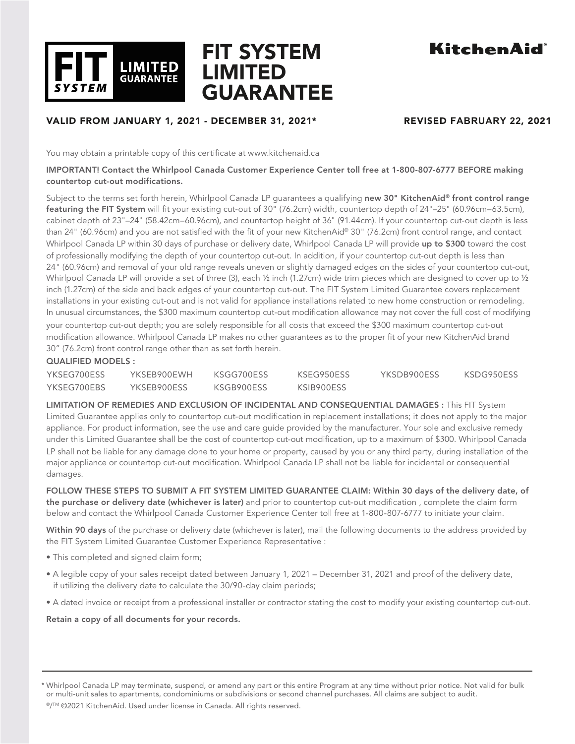

## FIT SYSTEM LIMITED GUARANTEE

## KitchenAid®

## VALID FROM JANUARY 1, 2021 - DECEMBER 31, 2021\* REVISED **FABRUARY 22**, 2021

You may obtain a printable copy of this certificate at www.kitchenaid.ca

### IMPORTANT! Contact the Whirlpool Canada Customer Experience Center toll free at 1-800-807-6777 BEFORE making countertop cut-out modifications.

Subject to the terms set forth herein, Whirlpool Canada LP quarantees a qualifying new 30" KitchenAid® front control range featuring the FIT System will fit your existing cut-out of 30" (76.2cm) width, countertop depth of 24"–25" (60.96cm–63.5cm), cabinet depth of 23"–24" (58.42cm–60.96cm), and countertop height of 36" (91.44cm). If your countertop cut-out depth is less than 24" (60.96cm) and you are not satisfied with the fit of your new KitchenAid® 30" (76.2cm) front control range, and contact Whirlpool Canada LP within 30 days of purchase or delivery date, Whirlpool Canada LP will provide up to \$**3**00 toward the cost of professionally modifying the depth of your countertop cut-out. In addition, if your countertop cut-out depth is less than 24" (60.96cm) and removal of your old range reveals uneven or slightly damaged edges on the sides of your countertop cut-out, Whirlpool Canada LP will provide a set of three (3), each 1/2 inch (1.27cm) wide trim pieces which are designed to cover up to 1/2 inch (1.27cm) of the side and back edges of your countertop cut-out. The FIT System Limited Guarantee covers replacement installations in your existing cut-out and is not valid for appliance installations related to new home construction or remodeling. In unusual circumstances, the \$300 maximum countertop cut-out modification allowance may not cover the full cost of modifying your countertop cut-out depth; you are solely responsible for all costs that exceed the \$300 maximum countertop cut-out modification allowance. Whirlpool Canada LP makes no other guarantees as to the proper fit of your new KitchenAid brand 30" (76.2cm) front control range other than as set forth herein.

### QUALIFIED MODELS :

| YKSEG700ESS | YKSFB900FWH | KSGG700FSS | KSEG950ESS | YKSDB900FSS | KSDG950FSS |
|-------------|-------------|------------|------------|-------------|------------|
| YKSEG700EBS | YKSEB900ESS | KSGB900ESS | KSIB900ESS |             |            |

LIMITATION OF REMEDIES AND EXCLUSION OF INCIDENTAL AND CONSEQUENTIAL DAMAGES : This FIT System Limited Guarantee applies only to countertop cut-out modification in replacement installations; it does not apply to the major appliance. For product information, see the use and care guide provided by the manufacturer. Your sole and exclusive remedy under this Limited Guarantee shall be the cost of countertop cut-out modification, up to a maximum of \$300. Whirlpool Canada LP shall not be liable for any damage done to your home or property, caused by you or any third party, during installation of the major appliance or countertop cut-out modification. Whirlpool Canada LP shall not be liable for incidental or consequential damages.

FOLLOW THESE STEPS TO SUBMIT A FIT SYSTEM LIMITED GUARANTEE CLAIM: Within 30 days of the delivery date, of the purchase or delivery date (whichever is later) and prior to countertop cut-out modification, complete the claim form below and contact the Whirlpool Canada Customer Experience Center toll free at 1-800-807-6777 to initiate your claim.

Within 90 days of the purchase or delivery date (whichever is later), mail the following documents to the address provided by the FIT System Limited Guarantee Customer Experience Representative :

- This completed and signed claim form;
- A legible copy of your sales receipt dated between January 1, 2021 December 31, 2021 and proof of the delivery date, if utilizing the delivery date to calculate the 30/90-day claim periods;
- A dated invoice or receipt from a professional installer or contractor stating the cost to modify your existing countertop cut-out.

Retain a copy of all documents for your records.

<sup>\*</sup> Whirlpool Canada LP may terminate, suspend, or amend any part or this entire Program at any time without prior notice. Not valid for bulk or multi-unit sales to apartments, condominiums or subdivisions or second channel purchases. All claims are subject to audit. ®/<sup>™</sup> ©2021 KitchenAid. Used under license in Canada. All rights reserved.